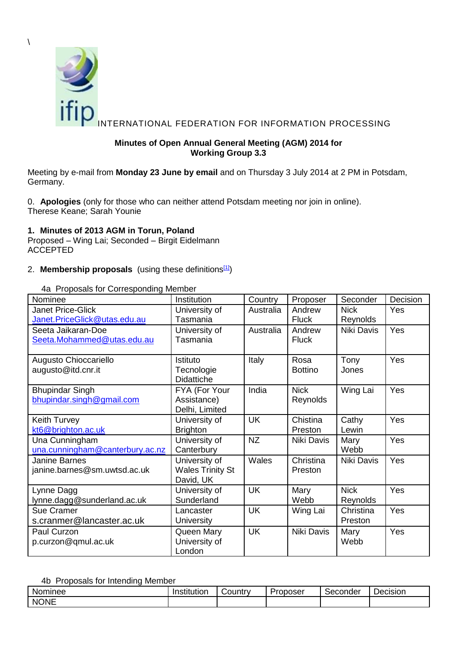

## <span id="page-0-0"></span>**Minutes of Open Annual General Meeting (AGM) 2014 for Working Group 3.3**

Meeting by e-mail from **Monday 23 June by email** and on Thursday 3 July 2014 at 2 PM in Potsdam, Germany.

0. **Apologies** (only for those who can neither attend Potsdam meeting nor join in online). Therese Keane; Sarah Younie

## **1. Minutes of 2013 AGM in Torun, Poland**

Proposed – Wing Lai; Seconded – Birgit Eidelmann ACCEPTED

### 2. **Membership proposals** (using these definitions<sup>[\[1\]](#page-3-0)</sup>)

| Nominee                         | Institution             | Country   | Proposer          | Seconder    | Decision   |
|---------------------------------|-------------------------|-----------|-------------------|-------------|------------|
| <b>Janet Price-Glick</b>        | University of           | Australia | Andrew            | <b>Nick</b> | Yes        |
| Janet.PriceGlick@utas.edu.au    | Tasmania                |           | <b>Fluck</b>      | Reynolds    |            |
| Seeta Jaikaran-Doe              | University of           | Australia | Andrew            | Niki Davis  | Yes        |
| Seeta.Mohammed@utas.edu.au      | Tasmania                |           | <b>Fluck</b>      |             |            |
|                                 |                         |           |                   |             |            |
| Augusto Chioccariello           | Istituto                | Italy     | Rosa              | Tony        | Yes        |
| augusto@itd.cnr.it              | Tecnologie              |           | <b>Bottino</b>    | Jones       |            |
|                                 | <b>Didattiche</b>       |           |                   |             |            |
| <b>Bhupindar Singh</b>          | FYA (For Your           | India     | <b>Nick</b>       | Wing Lai    | Yes        |
| bhupindar.singh@gmail.com       | Assistance)             |           | Reynolds          |             |            |
|                                 | Delhi, Limited          |           |                   |             |            |
| Keith Turvey                    | University of           | <b>UK</b> | Chistina          | Cathy       | Yes        |
| kt6@brighton.ac.uk              | <b>Brighton</b>         |           | Preston           | Lewin       |            |
| Una Cunningham                  | University of           | <b>NZ</b> | Niki Davis        | Mary        | Yes        |
| una.cunningham@canterbury.ac.nz | Canterbury              |           |                   | Webb        |            |
| Janine Barnes                   | University of           | Wales     | Christina         | Niki Davis  | <b>Yes</b> |
| janine.barnes@sm.uwtsd.ac.uk    | <b>Wales Trinity St</b> |           | Preston           |             |            |
|                                 | David, UK               |           |                   |             |            |
| Lynne Dagg                      | University of           | <b>UK</b> | Mary              | <b>Nick</b> | Yes        |
| lynne.dagg@sunderland.ac.uk     | Sunderland              |           | Webb              | Reynolds    |            |
| <b>Sue Cramer</b>               | Lancaster               | <b>UK</b> | Wing Lai          | Christina   | Yes        |
| s.cranmer@lancaster.ac.uk       | <b>University</b>       |           |                   | Preston     |            |
| Paul Curzon                     | Queen Mary              | <b>UK</b> | <b>Niki Davis</b> | Mary        | Yes        |
| p.curzon@qmul.ac.uk             | University of           |           |                   | Webb        |            |
|                                 | London                  |           |                   |             |            |

4a Proposals for Corresponding Member

### 4b Proposals for Intending Member

| Nominee     | .<br>Institution | ∟ountr∨ | Proposer | Seconder | -<br>Decision |
|-------------|------------------|---------|----------|----------|---------------|
| <b>NONE</b> |                  |         |          |          |               |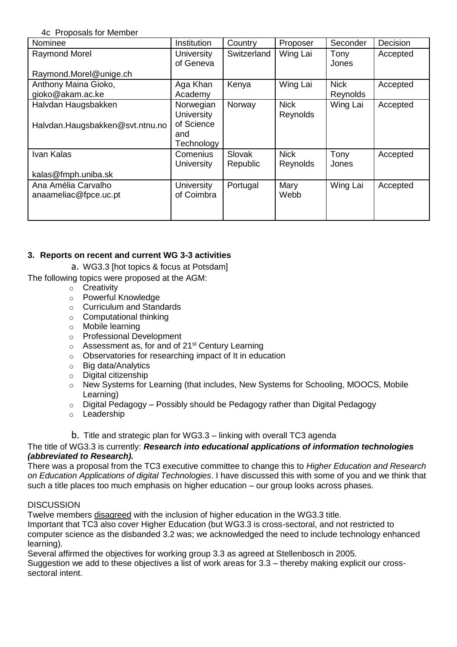4c Proposals for Member

| Nominee                         | Institution       | Country     | Proposer    | Seconder    | Decision |
|---------------------------------|-------------------|-------------|-------------|-------------|----------|
| Raymond Morel                   | <b>University</b> | Switzerland | Wing Lai    | Tony        | Accepted |
|                                 | of Geneva         |             |             | Jones       |          |
| Raymond.Morel@unige.ch          |                   |             |             |             |          |
| Anthony Maina Gioko,            | Aga Khan          | Kenya       | Wing Lai    | <b>Nick</b> | Accepted |
| gioko@akam.ac.ke                | Academy           |             |             | Reynolds    |          |
| Halvdan Haugsbakken             | Norwegian         | Norway      | <b>Nick</b> | Wing Lai    | Accepted |
|                                 | <b>University</b> |             | Reynolds    |             |          |
| Halvdan.Haugsbakken@svt.ntnu.no | of Science        |             |             |             |          |
|                                 | and               |             |             |             |          |
|                                 | Technology        |             |             |             |          |
| Ivan Kalas                      | Comenius          | Slovak      | <b>Nick</b> | Tony        | Accepted |
|                                 | University        | Republic    | Reynolds    | Jones       |          |
| kalas@fmph.uniba.sk             |                   |             |             |             |          |
| Ana Amélia Carvalho             | <b>University</b> | Portugal    | Mary        | Wing Lai    | Accepted |
| anaameliac@fpce.uc.pt           | of Coimbra        |             | Webb        |             |          |
|                                 |                   |             |             |             |          |
|                                 |                   |             |             |             |          |

# **3. Reports on recent and current WG 3-3 activities**

a. WG3.3 [hot topics & focus at Potsdam]

The following topics were proposed at the AGM:

- o Creativity
- o Powerful Knowledge
- o Curriculum and Standards
- o Computational thinking
- o Mobile learning
- o Professional Development
- $\circ$  Assessment as, for and of 21<sup>st</sup> Century Learning
- o Observatories for researching impact of It in education
- o Big data/Analytics
- o Digital citizenship
- o New Systems for Learning (that includes, New Systems for Schooling, MOOCS, Mobile Learning)
- o Digital Pedagogy Possibly should be Pedagogy rather than Digital Pedagogy
- o Leadership

b. Title and strategic plan for WG3.3 – linking with overall TC3 agenda

## The title of WG3.3 is currently: *Research into educational applications of information technologies (abbreviated to Research).*

There was a proposal from the TC3 executive committee to change this to *Higher Education and Research on Education Applications of digital Technologies*. I have discussed this with some of you and we think that such a title places too much emphasis on higher education – our group looks across phases.

## **DISCUSSION**

Twelve members disagreed with the inclusion of higher education in the WG3.3 title.

Important that TC3 also cover Higher Education (but WG3.3 is cross-sectoral, and not restricted to computer science as the disbanded 3.2 was; we acknowledged the need to include technology enhanced learning).

Several affirmed the objectives for working group 3.3 as agreed at Stellenbosch in 2005.

Suggestion we add to these objectives a list of work areas for 3.3 – thereby making explicit our crosssectoral intent.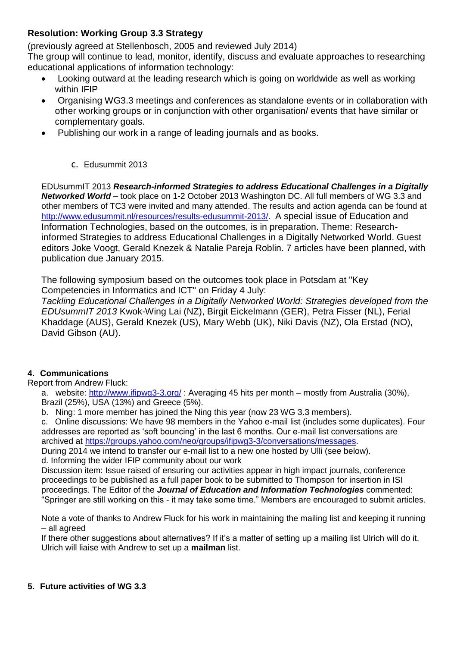# **Resolution: Working Group 3.3 Strategy**

(previously agreed at Stellenbosch, 2005 and reviewed July 2014)

The group will continue to lead, monitor, identify, discuss and evaluate approaches to researching educational applications of information technology:

- Looking outward at the leading research which is going on worldwide as well as working within IFIP
- Organising WG3.3 meetings and conferences as standalone events or in collaboration with other working groups or in conjunction with other organisation/ events that have similar or complementary goals.
- Publishing our work in a range of leading journals and as books.
	- c. Edusummit 2013

EDUsummIT 2013 *Research-informed Strategies to address Educational Challenges in a Digitally Networked World* – took place on 1-2 October 2013 Washington DC. All full members of WG 3.3 and other members of TC3 were invited and many attended. The results and action agenda can be found at [http://www.edusummit.nl/resources/results-edusummit-2013/.](http://www.edusummit.nl/resources/results-edusummit-2013/) A special issue of Education and Information Technologies, based on the outcomes, is in preparation. Theme: Researchinformed Strategies to address Educational Challenges in a Digitally Networked World. Guest editors Joke Voogt, Gerald Knezek & Natalie Pareja Roblin. 7 articles have been planned, with publication due January 2015.

The following symposium based on the outcomes took place in Potsdam at "Key Competencies in Informatics and ICT" on Friday 4 July:

*Tackling Educational Challenges in a Digitally Networked World: Strategies developed from the EDUsummIT 2013* Kwok-Wing Lai (NZ), Birgit Eickelmann (GER), Petra Fisser (NL), Ferial Khaddage (AUS), Gerald Knezek (US), Mary Webb (UK), Niki Davis (NZ), Ola Erstad (NO), David Gibson (AU).

# **4. Communications**

Report from Andrew Fluck:

a. website:<http://www.ifipwg3-3.org/>: Averaging 45 hits per month – mostly from Australia (30%), Brazil (25%), USA (13%) and Greece (5%).

b. Ning: 1 more member has joined the Ning this year (now 23 WG 3.3 members).

c. Online discussions: We have 98 members in the Yahoo e-mail list (includes some duplicates). Four addresses are reported as 'soft bouncing' in the last 6 months. Our e-mail list conversations are archived at [https://groups.yahoo.com/neo/groups/ifipwg3-3/conversations/messages.](https://groups.yahoo.com/neo/groups/ifipwg3-3/conversations/messages)

During 2014 we intend to transfer our e-mail list to a new one hosted by Ulli (see below). d. Informing the wider IFIP community about our work

Discussion item: Issue raised of ensuring our activities appear in high impact journals, conference proceedings to be published as a full paper book to be submitted to Thompson for insertion in ISI proceedings. The Editor of the *Journal of Education and Information Technologies* commented: "Springer are still working on this - it may take some time." Members are encouraged to submit articles.

Note a vote of thanks to Andrew Fluck for his work in maintaining the mailing list and keeping it running – all agreed

If there other suggestions about alternatives? If it's a matter of setting up a mailing list Ulrich will do it. Ulrich will liaise with Andrew to set up a **mailman** list.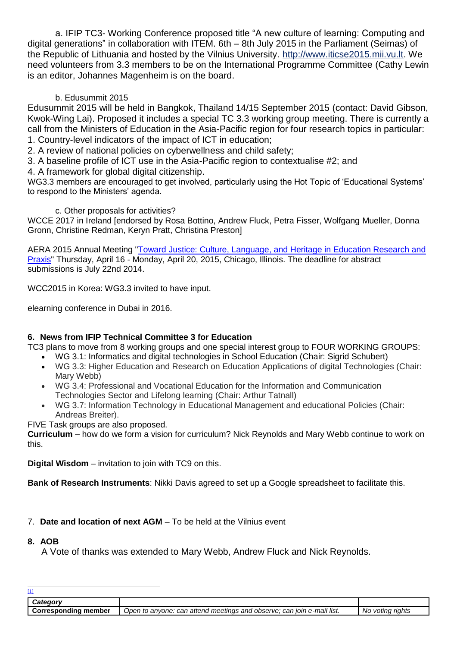a. IFIP TC3- Working Conference proposed title "A new culture of learning: Computing and digital generations" in collaboration with ITEM. 6th – 8th July 2015 in the Parliament (Seimas) of the Republic of Lithuania and hosted by the Vilnius University. [http://www.iticse2015.mii.vu.lt.](http://www.iticse2015.mii.vu.lt/) We need volunteers from 3.3 members to be on the International Programme Committee (Cathy Lewin is an editor, Johannes Magenheim is on the board.

## b. Edusummit 2015

Edusummit 2015 will be held in Bangkok, Thailand 14/15 September 2015 (contact: David Gibson, Kwok-Wing Lai). Proposed it includes a special TC 3.3 working group meeting. There is currently a call from the Ministers of Education in the Asia-Pacific region for four research topics in particular: 1. Country-level indicators of the impact of ICT in education;

2. A review of national policies on cyberwellness and child safety;

3. A baseline profile of ICT use in the Asia-Pacific region to contextualise #2; and

4. A framework for global digital citizenship.

WG3.3 members are encouraged to get involved, particularly using the Hot Topic of 'Educational Systems' to respond to the Ministers' agenda.

## c. Other proposals for activities?

WCCE 2017 in Ireland [endorsed by Rosa Bottino, Andrew Fluck, Petra Fisser, Wolfgang Mueller, Donna Gronn, Christine Redman, Keryn Pratt, Christina Preston]

AERA 2015 Annual Meeting ["Toward Justice: Culture, Language, and Heritage in Education Research and](http://www.aera.net/LinkClick.aspx?link=15492&tabid=10208&portalid=38&mid=28509)  [Praxis"](http://www.aera.net/LinkClick.aspx?link=15492&tabid=10208&portalid=38&mid=28509) Thursday, April 16 - Monday, April 20, 2015, Chicago, Illinois. The deadline for abstract submissions is July 22nd 2014.

WCC2015 in Korea: WG3.3 invited to have input.

elearning conference in Dubai in 2016.

## **6. News from IFIP Technical Committee 3 for Education**

TC3 plans to move from 8 working groups and one special interest group to FOUR WORKING GROUPS:

- WG 3.1: Informatics and digital technologies in School Education (Chair: Sigrid Schubert)
- WG 3.3: Higher Education and Research on Education Applications of digital Technologies (Chair: Mary Webb)
- WG 3.4: Professional and Vocational Education for the Information and Communication Technologies Sector and Lifelong learning (Chair: Arthur Tatnall)
- WG 3.7: Information Technology in Educational Management and educational Policies (Chair: Andreas Breiter).

FIVE Task groups are also proposed.

**Curriculum** – how do we form a vision for curriculum? Nick Reynolds and Mary Webb continue to work on this.

**Digital Wisdom** – invitation to join with TC9 on this.

**Bank of Research Instruments**: Nikki Davis agreed to set up a Google spreadsheet to facilitate this.

7. **Date and location of next AGM** – To be held at the Vilnius event

### **8. AOB**

A Vote of thanks was extended to Mary Webb, Andrew Fluck and Nick Reynolds.

<span id="page-3-0"></span>

| $\mathbf{u}$                   |                                                                                     |                         |
|--------------------------------|-------------------------------------------------------------------------------------|-------------------------|
|                                |                                                                                     |                         |
| <b>Correspondina</b><br>member | : can attend meetings and<br>can join e-mail list.<br>l observe:<br>Open to anvone: | riahts<br>votina<br>No. |